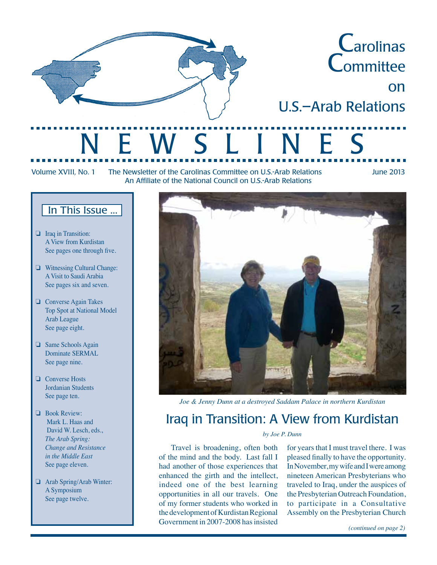

Volume XVIII, No. 1 The Newsletter of the Carolinas Committee on U.S.-Arab Relations June 2013 An Affiliate of the National Council on U.S.-Arab Relations

### In This Issue ...

- ❏ Iraq in Transition: A View from Kurdistan See pages one through five.
- ❏ Witnessing Cultural Change: A Visit to Saudi Arabia See pages six and seven.
- ❏ Converse Again Takes Top Spot at National Model Arab League See page eight.
- ❏ Same Schools Again Dominate SERMAL See page nine.
- ❏ Converse Hosts Jordanian Students See page ten.
- ❏ Book Review: Mark L. Haas and David W. Lesch, eds., *The Arab Spring: Change and Resistance in the Middle East* See page eleven.
- ❏ Arab Spring/Arab Winter: A Symposium See page twelve.



*Joe & Jenny Dunn at a destroyed Saddam Palace in northern Kurdistan*

### Iraq in Transition: A View from Kurdistan

### *by Joe P. Dunn*

 Travel is broadening, often both of the mind and the body. Last fall I had another of those experiences that enhanced the girth and the intellect, indeed one of the best learning opportunities in all our travels. One of my former students who worked in thedevelopmentofKurdistanRegional Government in 2007-2008 has insisted

for years that I must travel there. I was pleased finally to have the opportunity. InNovember,mywifeandIwereamong nineteen American Presbyterians who traveled to Iraq, under the auspices of the Presbyterian Outreach Foundation, to participate in a Consultative Assembly on the Presbyterian Church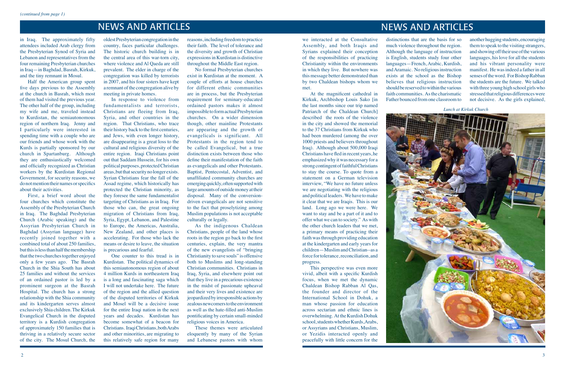*Lunch at Kirkuk Church*

in Iraq. The approximately fifty attendees included Arab clergy from the Presbyterian Synod of Syria and Lebanon and representatives from the four remaining Presbyterian churches in Iraq—in Baghdad, Basrah, Kirkuk, and the tiny remnant in Mosul.

 Half the American group spent five days previous to the Assembly at the church in Basrah, which most of them had visited the previous year. The other half of the group, including my wife and me, traveled instead to Kurdistan, the semiautonomous region of northern Iraq. Jenny and I particularly were interested in spending time with a couple who are our friends and whose work with the Kurds is partially sponsored by our church in Spartanburg. Although they are enthusiastically welcomed and officially recognized as Christian workers by the Kurdistan Regional Government, for security reasons, we donotmentiontheirnamesorspecifics about their activities.

 First, a brief word about the four churches which constitute the Assembly of the Presbyterian Church in Iraq. The Baghdad Presbyterian Church (Arabic speaking) and the Assyrian Presbyterian Church in Baghdad (Assyrian language) have recently joined together with a combined total of about 250 families, but this is less than half the membership that the two churches together enjoyed only a few years ago. The Basrah Church in the Shia South has about 25 families and without the services of an ordained pastor is led by a prominent surgeon at the Basrah Hospital. The church has a strong relationship with the Shia community and its kindergarten serves almost exclusively Shia children.The Kirkuk Evangelical Church in the disputed territory is a Kurdish congregation of approximately 150 families that is thriving in a relatively secure sector of the city. The Mosul Church, the

oldest Presbyterian congregation in the country, faces particular challenges. The historic church building is in the central area of this war-torn city, where violence and Al Qaeda are still prevalent. The elder in charge of the congregation was killed by terrorists in 2007, and his four sisters have kept a remnant of the congregation alive by meeting in private homes.

 In response to violence from fundamentalists and terrorists, Christians are fleeing from Iraq, Syria, and other countries in the region. That Christians, who trace their history back to the first centuries, and Jews, with even longer history, are disappearing is a great loss to the cultural and religious diversity of the entire region. Iraqi Christians point out that Saddam Hussein, for his own politicalpurposes,protectedChristian areas, but that security no longer exists. Syrian Christians fear the fall of the Assad regime, which historically has protected the Christian minority, as they foresee the same fundamentalist targeting of Christians as in Iraq. For those who can, the great ongoing migration of Christians from Iraq, Syria, Egypt, Lebanon, and Palestine to Europe, the Americas, Australia, New Zealand, and other places is accelerating. For those who lack the means or desire to leave, the situation is precarious and fearful.

 One counter to this tread is in Kurdistan. The political dynamics of this semiautonomous region of about 4 million Kurds in northeastern Iraq is a long and fascinating saga which I will not undertake here. The future of the region and the allied question of the disputed territories of Kirkuk and Mosel will be a decisive issue for the entire Iraqi nation in the next years and decades. Kurdistan has become somewhat of a beacon for Christians. IraqiChristians,bothArabs and other minorities, are migrating to this relatively safe region for many

reasons,including freedomto practice their faith. The level of tolerance and the diversity and growth of Christian expressionsin Kurdistan is distinctive throughout the Middle East region.

No formal Presbyterian churches exist in Kurdistan at the moment. A couple of efforts at house churches for different ethnic communities are in process, but the Presbyterian requirement for seminary-educated ordained pastors makes it almost impossible to form actual Presbyterian churches. On a wider dimension though, other mainline Protestants are appearing and the growth of evangelicals is significant. All Protestants in the region tend to be called Evangelical, but a true distinction exists between those who define their manifestation of the faith as evangelicals and other Protestants. Baptist, Pentecostal, Adventist, and unaffiliated community churches are emerging quickly, often supported with large amounts of outside money at their disposal. Many of the conversiondriven evangelicals are not sensitive to the fact that proselytizing among Muslim populations is not acceptable culturally or legally.

As the indigenous Chaldean Christians, people of the land whose roots in the region go back to the first centuries, explain, the very mantra of the new evangelists of "bringing Christianity to save souls" is offensive both to Muslims and long-standing Christian communities. Christians in Iraq, Syria, and elsewhere point out that they live in a precarious existence in the midst of passionate upheaval and their very lives and existence are jeopardized by irresponsible actions by zealous new comers to the environment as well as the hate-filled anti-Muslim pontificating by certain small-minded religious voices in America.

These themes were articulated eloquently by many of the Syrian and Lebanese pastors with whom

## NEWS AND ARTICLES NEWS AND ARTICLES

we interacted at the Consultative Assembly, and both Iraqis and Syrians explained their conception of the responsibilities of practicing Christianity within the environments in which they live. But nowhere was this message better demonstrated than by two Chaldean bishops whom we met.

 At the magnificent cathedral in Kirkuk, Archbishop Louis Sako [in the last months since our trip named Patriarch of the Chaldean Church] described the roots of the violence in the city and showed the memorial to the 37 Christians from Kirkuk who had been murdered (among the over 1000 priests and believers throughout Iraq). Although about 500,000 Iraqi Christians have fled in recent years, he emphasizedwhy itwas necessary for a strong contingent of faithful Christians to stay the course. To quote from a statement on a German television interview, "We have no future unless we are negotiating with the religious and politicalleaders. We have tomake it clear that we are Iraqis. This is our land. Long ago we were here. We want to stay and be a part of it and to offer what we can to society." As with the other church leaders that we met, a primary means of practicing their faith was through providing education at the kindergarten and early years for children—MuslimandChristian--as a force fortolerance,reconciliation, and progress.

 This perspective was even more vivid, albeit with a specific Kurdish focus, when we met the dynamic Chaldean Bishop Rabban Al Qas, the founder and director of the International School in Dohuk, a man whose passion for education across sectarian and ethnic lines is overwhelming. At the Kurdish Dohuk school, students whether Kurds, Arabs, or Assyrians and Christians, Muslim, or Yezidis interacted openly and peacefully with little concern for the



distinctions that are the basis for so much violence throughout the region. Although the language of instruction is English, students study four other languages—French, Arabic, Kurdish, and Aramaic. No religious instruction exists at the school as the Bishop believes that religious instruction should be reserved to within the various faith communities. Asthe charismatic Father bounced fromone classroomto anotherhuggingstudents,encouraging themto speak to the visiting strangers, andshowingofftheiruseofthevarious languages, hislove for all the students and his vibrant personality were manifest. He was indeed a father in all senses of the word. For Bishop Rabban the students are the future. We talked with three young high school girls who stressed that religious differences were not decisive. As the girls explained,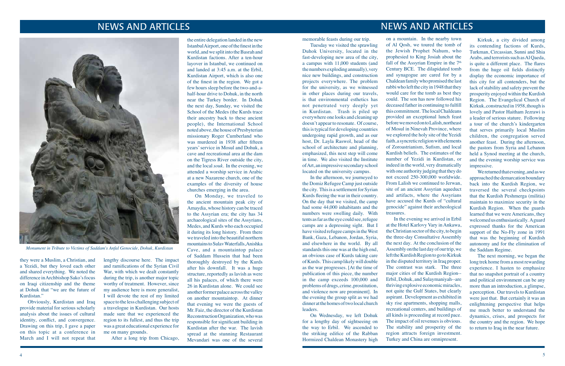### NEWS AND ARTICLES

### NEWS AND ARTICLES

they were a Muslim, a Christian, and a Yezidi, but they loved each other and shared everything. We noted the difference in Archbishop Sako's focus on Iraqi citizenship and the theme at Dohuk that "we are the future of Kurdistan."

 Obviously, Kurdistan and Iraq provide material for serious scholarly analysis about the issues of cultural identity, conflict, and convergence. Drawing on this trip, I gave a paper on this topic at a conference in March and I will not repeat that

lengthy discourse here. The impact and ramifications of the Syrian Civil War, with which we dealt constantly during the trip, is another major topic worthy of treatment. However, since my audience here is more generalist, I will devote the rest of my limited space to the less challenging subject of a travelogue in Kurdistan. Our hosts made sure that we experienced the region to its fullest, and thus the trip was a great educational experience for me on many grounds.

 After a long trip from Chicago,

the entire delegation landed in the new Istanbul Airport, one of the finest in the world, and we split into the Basrah and Kurdistan factions. After a ten-hour layover in Istanbul, we continued on and landed at 3:45 a.m. at the Erbil, Kurdistan Airport, which is also one of the finest in the region. We got a few hourssleep before the two-and-ahalf-hour drive to Dohuk, in the north near the Turkey border. In Dohuk the next day, Sunday, we visited the School of the Medes (the Kurds trace their ancestry back to these ancient people), the International School noted above, the house of Presbyterian missionary Roger Cumberland who was murdered in 1938 after fifteen years'service in Mosul and Dohuk, a cave and recreational area at the dam on the Tigress River outside the city, and the local *souk*. In the evening, we attended a worship service in Arabic at a new Nazarene church, one of the examples of the diversity of house churches emerging in the area.

 On Monday, we traveled to the ancient mountain peak city of Amaydia, whose history can be traced to the Assyrian era; the city has 34 archaeological sites of the Assyrians, Medes, and Kurds who each occupied it during its long history. From there we traveled into the beautiful northern mountainstoSulavWaterfalls,Anishka Cave, and a mountaintop palace of Saddam Hussein that had been thoroughly destroyed by the Kurds after his downfall. It was a huge structure, reportedly as lavish as were all his palaces, of which there were 26 in Kurdistan alone. We could see another former palace across the valley on another mountaintop. At dinner that evening we were the guests of Mr. Faiz, the director of the Kurdistan ReconstructionOrganization,whowas responsible for significant building in Kurdistan after the war. The lavish spread at the stunning Restaurant Mevandari was one of the several memorable feasts during our trip.

 Tuesday we visited the sprawling Duhok University, located in the fast-developing new area of the city, a campus with 11,000 students (and the numbers exploding annually), very nice new buildings, and construction projects everywhere. The problem for the university, as we witnessed in other places during our travels, is that environmental esthetics has not penetrated very deeply yet in Kurdistan. Trash is piled up everywhere one looks and cleaning up doesn't appear to resonate. Of course, this is typical for developing countries undergoing rapid growth, and as our host, Dr. Layla Raswol, head of the school of architecture and planning, emphasized, this next step will come in time. We also visited the Institute ofArt, animpressive secondaryschool located on the university campus.

We returned that evening, and as we approached the demarcation boundary back into the Kurdish Region, we traversed the several checkpoints that the Kurdish Peshmerga (militia) maintain to maximize security in the Kurdish Region. When the guards learned that we were Americans, they welcomedus enthusiastically. Aguard expressed thanks for the American support of the No-Fly zone in 1991 that was the beginning of Kurdish autonomy and for the elimination of the Saddam Regime.

 In the afternoon, we journeyed to the Domiz Refugee Camp just outside the city. This is a settlement for Syrian Kurds fleeing the war in their country. On the day that we visited, the camp had some 44,000 inhabitants and the numbers were swelling daily. With tents asfar asthe eye couldsee,refugee camps are a depressing sight. But I have visited refugee campsin theWest Bank, Gaza, Lebanon, Jordan, Syria, and elsewhere in the world. By all standards this one was at the high end. an obvious case of Kurds taking care ofKurds. This camplikelywilldouble as the war progresses. [At the time of publication of this piece, the number in the camp exceeds 100,000 and problemsofdrugs, crime,prostitution, and violence now are prominent]. In the evening the group split as we had dinner at the homes of two local church leaders.

 On Wednesday, we left Dohuk for a lengthy day of sightseeing on the way to Erbil. We ascended to the striking edifice of the Rabban Hormized Chaldean Monastery high



*Monument in Tribute to Victims of Saddam's Anfal Genocide, Dohuk, Kurdistan*

on a mountain. In the nearby town of Al Qosh, we toured the tomb of the Jewish Prophet Nahum, who prophesied to King Josiah about the fall of the Assyrian Empire in the 7<sup>th</sup> Century BCE. The dilapidated tomb and synagogue are cared for by a Chaldean family who promised the last rabbi who left the city in 1948 that they would care for the tomb as best they could. The son has now followed his deceased father in continuing to fulfill this commitment. The localChaldeans provided an exceptional lunch feast beforewemovedontoLalish,northeast of Mosul in Ninevah Province, where we explored the holy site of the Yezidi faith, a syncretic religion with elements of Zoroastrianism, Sufism, and local Kurdish beliefs. The estimates of the number of Yezidi in Kurdistan, or indeed in the world, very dramatically with one authority judging that they do not exceed 250-300,000 worldwide. From Lalish we continued to Jerwan, site of an ancient Assyrian aqueduct and artifacts, where the Assyrians have accused the Kurds of "cultural genocide" against their archeological treasures.

 In the evening we arrived in Erbil at the Hotel Karlovy Vary in Ankawa, theChristiansectorofthe city,tobegin the three-day Consultative Assembly the next day. At the conclusion of the Assemblyonthe lastdayofourtrip,we left the Kurdish Region to go to Kirkuk in the disputed territory in Iraq proper. The contrast was stark. The three major cities of the Kurdish Region-- Erbil, Dohuk, and Sulaymaniyah--are thriving explosive economic miracles, not quite the Gulf States, but clearly aspirant. Development as exhibited in sky rise apartments, shopping malls, recreational centers, and buildings of all kinds is proceeding at record pace. The impact of oil revenues is obvious. The stability and prosperity of the region attracts foreign investment. Turkey and China are omnipresent.

 Kirkuk, a city divided among its contending factions of Kurds, Turkman, Circassian, Sunni and Shia Arabs, and terrorists such as Al Qaeda, is quite a different place. The flares from the huge oil fields distinctly display the economic importance of this city for all contenders, but the lack of stability and safety prevent the prosperity enjoyed within the Kurdish Region. The Evangelical Church of Kirkuk, constructed in 1958, though is lovely and Pastor Haitham Jezrawi is a leader of serious stature. Following a tour of the church's kindergarten that serves primarily local Muslim children, the congregation served another feast. During the afternoon, the pastors from Syria and Lebanon held a Synod meeting at the church, and the evening worship service was impressive.

 The next morning, we began the long trek home from a most rewarding experience. I hasten to emphasize that no snapshot portrait of a country and political environment can be any more than an introduction, a glimpse, a perception. Our travels to Kurdistan were just that. But certainly it was an enlightening perspective that helps me much better to understand the dynamics, crises, and prospects for the country and the region. We hope to return to Iraq in the near future.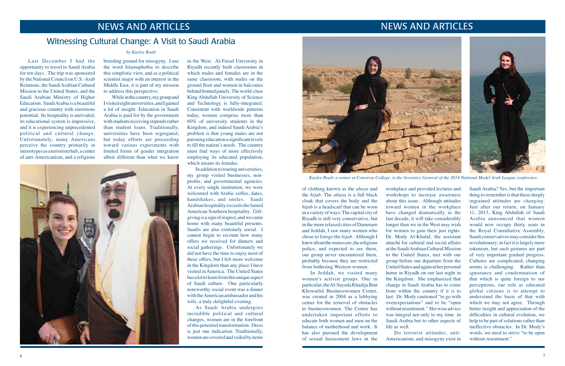

Last December I had the opportunity to travel to Saudi Arabia for ten days. The trip was sponsored by the National Council on U.S.-Arab Relations, the Saudi Arabian Cultural Mission to the United States, and the Saudi Arabian Ministry of Higher Education. SaudiArabia is abeautiful and gracious country with enormous potential. Its hospitality is unrivaled, its educational system is impressive, and it is experiencing unprecedented political and cultural change. Unfortunately, many Americans perceive the country primarily in stereotypes as a terrorismhub, a center of anti-Americanism, and a religious

While in the country, my group and Ivisitedeightuniversities,andIgained a lot of insight. Education in Saudi Arabia is paid for by the government with students receiving stipends rather than student loans. Traditionally, universities have been segregated, but today efforts are proceeding toward various experiments with limited forms of gender integration albeit different than what we know

### NEWS AND ARTICLES NEWS AND ARTICLES

### Witnessing Cultural Change: A Visit to Saudi Arabia

### *by Kaylee Boalt*

breeding ground for misogyny. I use the word Islamaphobia to describe this simplistic view, and as a political scientist major with an interest in the Middle East, it is part of my mission to address this perspective.

> As Saudi Arabia undergoes incredible political and cultural changes, women are in the forefront of this potential transformation. Dress is just one indication. Traditionally, women are covered and veiled by items

in the West. Al-Faisal University in Riyadh recently built classrooms in which males and females are in the same classroom, with males on the ground floor and women in balconies behind fronted panels. The world-class King Abdullah University of Science and Technology is fully-integrated. Consistent with worldwide patterns today, women comprise more than 60% of university students in the Kingdom, and indeed Saudi Arabia's problem is that young males are not pursuingeducationa significantlevels to fill the nation's needs. The country must find ways of more effectively employing its educated population, which means its females.

 In addition to touring universities, my group visited businesses, nonprofits, and governmental agencies. At every single institution, we were welcomed with Arabic coffee, dates, handshakes, and smiles. Saudi Arabian hospitality exceeds the famed American Southern hospitality. Giftgivingis a signofrespect, andwe came home with many beautiful presents. Saudis are also extremely social. I cannot begin to recount how many offers we received for dinners and social gatherings. Unfortunately we did not have the time to enjoy most of these offers, but I felt more welcome in the Kingdom than any place I have visited inAmerica. The United States has a lot to learn from this unique aspect of Saudi culture. One particularly noteworthy social event was a dinner with the American ambassador and his wife, a truly delightful evening.

of clothing known as the *abaya* and the *hijab*. The *abaya* is a full black cloak that covers the body and the *hijab* is a headscarf that can be worn in a variety of ways. The capital city of Riyadh is still very conservative, but in the more relaxed cities of Dammam and Jeddah, I saw many women who chose to forego the *hijab*. Although I knewaboutthe*mutawain*,thereligious police, and expected to see them, our group never encountered them, probably because they are restricted from bothering Western women.

 In Jeddah, we visited many women's activist groups. One in particular,theAl-SayedaKhadijaBint Khowailid Businesswomen Center, was created in 2004 as a lobbying center for the removal of obstacles to businesswomen. The Center has undertaken important efforts to educate both women and men on the balance of motherhood and work. It has also pursued the development of sexual harassment laws in the

workplace and provided lectures and workshops to increase awareness about this issue. Although attitudes toward women in the workplace have changed dramatically in the last decade, it will take considerably longer than we in the West may wish for women to gain their just rights. Dr. Mody Al-Khalaf, the assistant attaché for cultural and social affairs at the Saudi Arabian Cultural Mission to the United States, met with our group before our departure from the United States and again at her personal home in Riyadh on our last night in the Kingdom. She emphasized that change in Saudi Arabia has to come from within the country if it is to last. Dr. Mody cautioned "to go with overexpectations" and to be "open without resentment." Her wise advice was integral not only to my time in Saudi Arabia but to other aspects of life as well. Do terrorist attitudes, anti-

Americanism, and misogyny exist in



*Kaylee Boalt, a senior at Converse College, is the Secretary General of the 2014 National Model Arab League conference.*

Saudi Arabia? Yes, but the important thing to remember is that these deeply ingrained attitudes are *changing*. Just after our return, on January 11, 2013, King Abdullah of Saudi Arabia announced that women would now occupy thirty seats in the Royal Consultative Assembly. Saudi conservatives may consider this revolutionary; in fact it is largely mere tokenism, but such gestures are part of very important gradual progress. Cultures are complicated; changing norms is challenging. Rather than ignorance and condemnation of that which is quite foreign to our perceptions, our role as educated global citizens is to attempt to understand the basis of that with which we may not agree. Through better insight and appreciation of the difficulties in cultural evolution, we help to be part of solutions rather than ineffective obstacles. In Dr. Mody's words, we need to strive "to be open without resentment."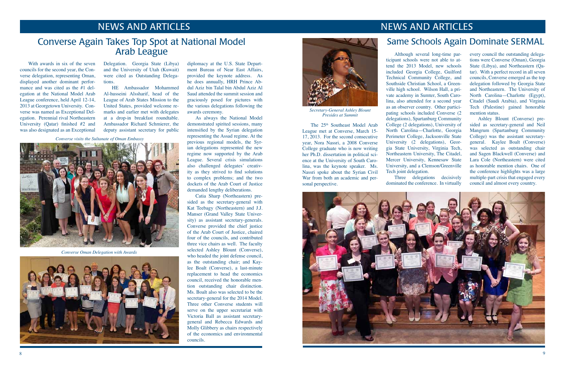The 25<sup>th</sup> Southeast Model Arab League met at Converse, March 15- 17, 2013. For the second consecutive year, Nora Nassri, a 2008 Converse College graduate who is now writing her Ph.D. dissertation in political science at the University of South Carolina, was the keynote speaker. Ms. Nassri spoke about the Syrian Civil War from both an academic and personal perspective.

### NEWS AND ARTICLES NEWS AND ARTICLES

### Converse Again Takes Top Spot at National Model Arab League

 With awards in six of the seven councils for the second year, the Converse delegation, representing Oman, displayed another dominant performance and was cited as the #1 delegation at the National Model Arab League conference, held April 12-14, 2013 at Georgetown University. Converse was named as Exceptional Delegation. Perennial rival Northeastern University (Qatar) finished #2 and was also designated as an Exceptional

Delegation. Georgia State (Libya) and the University of Utah (Kuwait) were cited as Outstanding Delegations.

 HE Ambassador Mohammed Al-husseini Alssharif, head of the League of Arab States Mission to the United States, provided welcome remarks and earlier met with delegates at a drop-in breakfast roundtable. Ambassador Richard Schmierer, the deputy assistant secretary for public



*Secretary-General Ashley Blount Presides at Summit*

 Although several long-time participant schools were not able to attend the 2013 Model, new schools included Georgia College, Guilford Technical Community College, and Southside Christian School, a Greenville high school. Wilson Hall, a private academy in Sumter, South Carolina, also attended for a second year as an observer country. Other participating schools included Converse (2 delegations), Spartanburg Community College (2 delegations), University of North Carolina—Charlotte, Georgia Perimeter College, Jacksonville State University (2 delegations), Georgia State University, Virginia Tech, Northeastern University, The Citadel, Mercer University, Kennesaw State University, and a Clemson/Greenville Tech joint delegation.

 Three delegations decisively dominated the conference. In virtually



every council the outstanding delegations were Converse (Oman), Georgia State (Libya), and Northeastern (Qatar). With a perfect record in all seven councils, Converse emerged as the top delegation followed by Georgia State and Northeastern. The University of North Carolina—Charlotte (Egypt), Citadel (Saudi Arabia), and Virginia Tech (Palestine) gained honorable mention status.

 Ashley Blount (Converse) presided as secretary-general and Neil Mangrum (Spartanburg Community College) was the assistant secretarygeneral. Kaylee Boalt (Converse) was selected as outstanding chair and Sagen Blackwell (Converse) and Lara Cole (Northeastern) were cited as honorable mention chairs. One of the conference highlights was a large multiple-part crisis that engaged every council and almost every country.

### Same Schools Again Dominate SERMAL

*Converse visits the Sultanate of Oman Embassy*



*Converse Oman Delegation with Awards*



diplomacy at the U.S. State Department Bureau of Near East Affairs, provided the keynote address. As he does annually, HRH Prince Abdul Aziz bin Talal bin Abdul Aziz Al Saud attended the summit session and graciously posed for pictures with the various delegations following the awards ceremony.

As always the National Model demonstrated spirited sessions, many intensified by the Syrian delegation representing the Assad regime. At the previous regional models, the Syrian delegations represented the new regime now supported by the Arab League. Several crisis simulations also challenged delegates' creativity as they strived to find solutions to complex problems; and the two dockets of the Arab Court of Justice demanded lengthy deliberations.

 Catia Sharp (Northeastern) presided as the secretary-general with Kat Teebagy (Northeastern) and J.J. Manser (Grand Valley State University) as assistant secretary-generals. Converse provided the chief justice of the Arab Court of Justice, chaired four of the councils, and contributed three vice chairs as well. The faculty selected Ashley Blount (Converse), who headed the joint defense council, as the outstanding chair; and Kaylee Boalt (Converse), a last-minute replacement to head the economics council, received the honorable mention outstanding chair distinction. Ms. Boalt also was selected to be the secretary-general for the 2014 Model. Three other Converse students will serve on the upper secretariat with Victoria Ball as assistant secretarygeneral and Rebecca Edwards and Molly Glibbery as chairs respectively of the economics and environmental councils.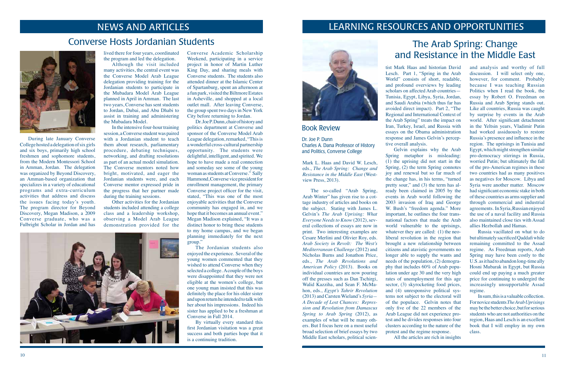## NEWS AND ARTICLES

 During late January Converse College hosted a delegation of six girls and six boys, primarily high school freshmen and sophomore students, from the Modern Montessori School in Amman, Jordan. The delegation was organized by Beyond Discovery, an Amman-based organization that specializes in a variety of educational programs and extra-curriculum activities that address and discuss the issues facing today's youth. The program director for Beyond Discovery, Megan Madison, a 2009 Converse graduate, who was a Fulbright Scholar in Jordan and has

lived there for four years, coordinated the program and led the delegation.

 Although the visit included many activities, the central event was the Converse Model Arab League delegation providing training for the Jordanian students to participate in the Mubadara Model Arab League planned in April in Amman. The last two years, Converse has sent students to Jordan, Dubai, and Abu Dhabi to assist in training and administering the Mubadara Model.

 In the intensive four-hourtraining session, a Converse student was paired with a Jordanian student to teach them about research, parliamentary procedure, debating techniques, networking, and drafting resolutions as part of an actual model simulation. The Converse mentors noted how bright, motivated, and eager the Jordanian students were, and each Converse mentor expressed pride in the progress that her partner made during the training sessions.

Dr.Joe P.Dunn, chair of history and politics department at Converse and sponsor of the Converse Model Arab League delegation, remarked, "This is awonderful cross-cultural partnership opportunity. The students were delightful, intelligent, and spirited. We hope to have made a real connection and someday see some of the young woman as students at Converse." Sally Hammond, Converse vice president for enrollment management, the primary Converse project officer for the visit, stated, "This was one of the most enjoyable activities that the Converse community has engaged in, and we hope that it becomes an annual event." Megan Madison explained, "It was a distinct honor to bring these students to my home campus, and we began planning immediately for the next group."

 Other activities for the Jordanian students included attending a college class and a leadership workshop, observing a Model Arab League demonstration provided for the



Converse Academic Scholarship Weekend, participating in a service project in honor of Martin Luther King Day, and sharing meals with Converse students. The students also attended dinner at the Islamic Center of Spartanburg, spent an afternoon at a fun park, visited the Biltmore Estates in Asheville, and shopped at a local outlet mall. After leaving Converse, the group spent two days in New York City before returning to Jordan.

The Jordanian students also enjoyed the experience. Several of the young women commented that they wished to attend Converse when they selected a college. A couple of the boys were disappointed that they were not eligible at the women's college, but one young man insisted that this was definitely the place for his older sister and upon return he intended to talk with her about his impressions. Indeed his sister has applied to be a freshman at Converse in Fall 2014.

 By virtually every standard this first Jordanian visitation was a great success and both parties hope that it is a continuing tradition.

### Converse Hosts Jordanian Students



### Book Review

Dr. Joe P. Dunn Charles A. Dana Professor of History and Politics, Converse College

## The Arab Spring: Change and Resistance in the Middle East

## LEARNING RESOURCES AND OPPORTUNITIES



Mark L. Haas and David W. Lesch, eds., *The Arab Spring: Change and Resistance in the Middle East* (Westview Press, 2013).

 The so-called "Arab Spring, Arab Winter" has given rise to a cottage industry of articles and books on the subject. Stating with James L. Gelvin's *The Arab Uprising: What Everyone Needs to Know* (2012), several collections of essays are now in print. Two interesting examples are Cesare Merlini and Olivier Roy, eds. *Arab Society in Revolt: The West's Mediterranean Challenge* (2012) and Nicholas Burns and Jonathon Price, eds., *The Arab Revolutions and American Policy* (2013). Books on individual countries are now pouring off the presses such as Dan Tschirgi, Walid Kazziha, and Sean F. McMahon, eds., *Egypt's Tahrir Revolution* (2013) and Carsten Wieland's *Syria— A Decade of Lost Chances: Repression and Revolution from Damascus Spring to Arab Spring* (2012), as examples of what will be many others. But I focus here on a most useful broad selection of brief essays by two Middle East scholars, political scien-

tist Mark Haas and historian David Lesch. Part 1, "Spring in the Arab World" consists of short, readable, and profound overviews by leading scholars on affected Arab countries— Tunisia, Egypt, Libya, Syria, Jordan, and Saudi Arabia (which thus far has avoided direct impact). Part 2, "The Regional and International Context of the Arab Spring" treats the impact on Iran, Turkey, Israel, and Russia with essays on the Obama administration response and James Gelvin's perceptive overall analysis.

 Gelvin explains why the Arab Spring metaphor is misleading: (1) the uprising did not start in the Spring, (2) the term Spring connotes joy and renewal but so far much of the change has, in his terms, "turned pretty sour," and (3) the term has already been claimed in 2005 by the events in Arab world following the 2003 invasion of Iraq and George W. Bush's "freedom agenda." More important, he outlines the four transnational factors that made the Arab world vulnerable to the uprisings, whatever they are called: (1) the neoliberal revolution in the region that brought a new relationship between citizens and atavistic governments no longer able to supply the wants and needs of the population, (2) demography that includes 60% of Arab population under age 30 and the very high rates of unemployment for this age sector, (3) skyrocketing food prices, and (4) unresponsive political systems not subject to the electoral will of the populace. Gelvin notes that only five of the 22 members of the Arab League did not experience protest and he divides responses into four clusters according to the nature of the protest and the regime response. All the articles are rich in insights

and analysis and worthy of full discussion. I will select only one, however, for comment. Probably because I was teaching Russian Politics when I read the book, the essay by Robert O. Freedman on Russia and Arab Spring stands out. Like all countries, Russia was caught by surprise by events in the Arab world. After significant detachment in the Yeltsin years, Vladimir Putin had worked assiduously to restore Russia's presence and influence in the region. The uprisings in Tunisia and Egypt, which might strengthen similar pro-democracy stirrings in Russia, worried Putin; but ultimately the fall of the pro-American regimes in these two countries had as many positives as negatives for Moscow. Libya and Syria were another matter. Moscow had significant economic stake in both of these countries as arms supplier and through commercial and industrial agreements. InSyria,Russianenjoyed the use of a naval facility and Russia also maintained close ties with Assad allies Hezbollah and Hamas.

 Russia vacillated on what to do butultimatelysacrificedQaddafiwhile remaining committed to the Assad regime. As Freedman reports, Arab Spring may have been costly to the U.S. as it had to abandon long-time ally Hosni Mubarak in Egypt, but Russia could end up paying a much greater price for continuing to undergird the increasingly unsupportable Assad regime.

 Insum,thisisavaluablecollection. Fornovicestudents*The Arab Uprisings* maybethebetterchoice,butforserious students who are not authorities on the region, Haas and Lesch is an excellent book that I will employ in my own class.